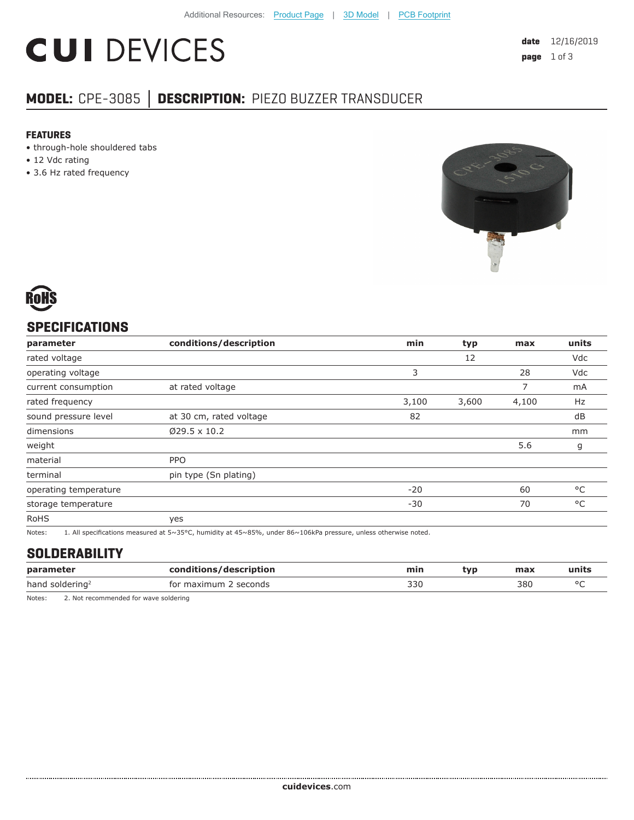# **CUI DEVICES**

## **MODEL:** CPE-3085 **│ DESCRIPTION:** PIEZO BUZZER TRANSDUCER

#### **FEATURES**

- through-hole shouldered tabs
- 12 Vdc rating
- 3.6 Hz rated frequency





#### **SPECIFICATIONS**

| parameter             | conditions/description  | min   | typ   | max   | units        |
|-----------------------|-------------------------|-------|-------|-------|--------------|
| rated voltage         |                         |       | 12    |       | Vdc          |
| operating voltage     |                         | 3     |       | 28    | Vdc          |
| current consumption   | at rated voltage        |       |       | 7     | mA           |
| rated frequency       |                         | 3,100 | 3,600 | 4,100 | Hz           |
| sound pressure level  | at 30 cm, rated voltage | 82    |       |       | dB           |
| dimensions            | $Ø29.5 \times 10.2$     |       |       |       | mm           |
| weight                |                         |       |       | 5.6   | g            |
| material              | <b>PPO</b>              |       |       |       |              |
| terminal              | pin type (Sn plating)   |       |       |       |              |
| operating temperature |                         | $-20$ |       | 60    | $^{\circ}$ C |
| storage temperature   |                         | $-30$ |       | 70    | °C           |
| <b>RoHS</b>           | yes                     |       |       |       |              |

Notes: 1. All specifications measured at 5~35°C, humidity at 45~85%, under 86~106kPa pressure, unless otherwise noted.

#### **SOLDERABILITY**

| paran<br>$  -$    | escription<br>nn- | mır          | tvr | <b>HARV</b><br>чал | . 111 L.S |
|-------------------|-------------------|--------------|-----|--------------------|-----------|
| hanc<br>soldering | cocon<br>conas    | 330<br>- - - |     | 380<br>.           | $\sim$    |

Notes: 2. Not recommended for wave soldering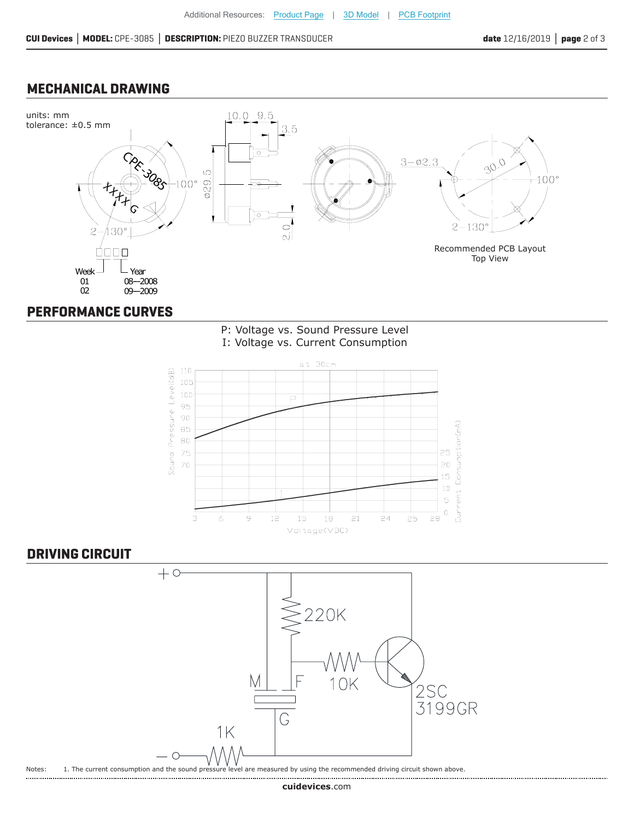#### **MECHANICAL DRAWING**



#### **PERFORMANCE CURVES**





### **DRIVING CIRCUIT**